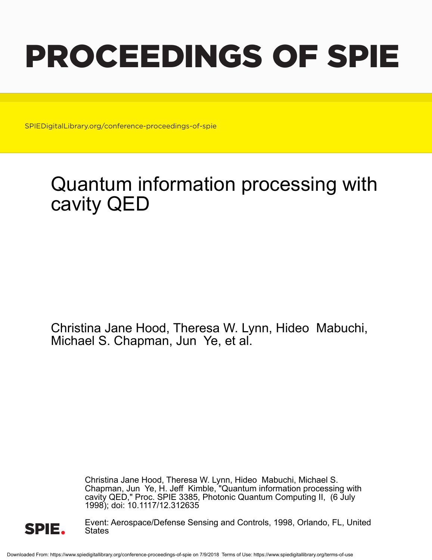# PROCEEDINGS OF SPIE

SPIEDigitalLibrary.org/conference-proceedings-of-spie

# Quantum information processing with cavity QED

Christina Jane Hood, Theresa W. Lynn, Hideo Mabuchi, Michael S. Chapman, Jun Ye, et al.

> Christina Jane Hood, Theresa W. Lynn, Hideo Mabuchi, Michael S. Chapman, Jun Ye, H. Jeff Kimble, "Quantum information processing with cavity QED," Proc. SPIE 3385, Photonic Quantum Computing II, (6 July 1998); doi: 10.1117/12.312635



Event: Aerospace/Defense Sensing and Controls, 1998, Orlando, FL, United **States**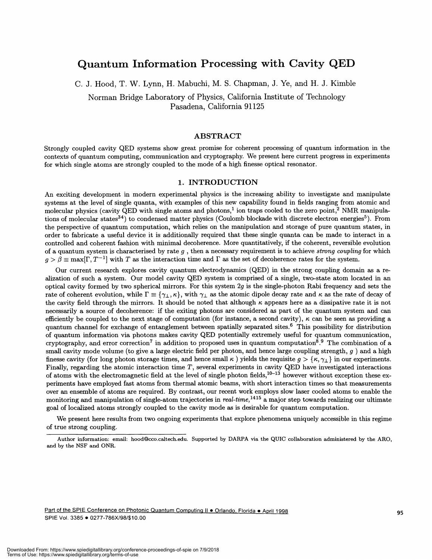# Quantum Information Processing with Cavity QED

C. J. Hood, T. W. Lynn, H. Mabuchi, M. S. Chapman, J. Ye, and H. J. Kimble

Norman Bridge Laboratory of Physics, California Institute of Technology Pasadena, California 91125

# ABSTRACT

Strongly coupled cavity QED systems show great promise for coherent processing of quantum information in the contexts of quantum computing, communication and cryptography. We present here current progress in experiments for which single atoms are strongly coupled to the mode of a high finesse optical resonator.

## 1. INTRODUCTION

An exciting development in modern experimental physics is the increasing ability to investigate and manipulate systems at the level of single quanta, with examples of this new capability found in fields ranging from atomic and molecular physics (cavity  $\widetilde{QED}$  with single atoms and photons,<sup>1</sup> ion traps cooled to the zero point,<sup>2</sup> NMR manipulations of molecular states<sup>34</sup>) to condensed matter physics (Coulomb blockade with discrete electron energies<sup>5</sup>). From the perspective of quantum computation, which relies on the manipulation and storage of pure quantum states, in order to fabricate a useful device it is additionally required that these single quanta can be made to interact in a controlled and coherent fashion with minimal decoherence. More quantitatively, if the coherent, reversible evolution of a quantum system is characterised by rate  $g$ , then a necessary requirement is to achieve strong coupling for which  $g > \beta \equiv \max[\Gamma, T^{-1}]$  with T as the interaction time and  $\Gamma$  as the set of decoherence rates for the system.

Our current research explores cavity quantum electrodynamics (QED) in the strong coupling domain as a realization of such a system. Our model cavity QED system is comprised of a single, two-state atom located in an optical cavity formed by two spherical mirrors. For this system  $2q$  is the single-photon Rabi frequency and sets the rate of coherent evolution, while  $\Gamma \equiv {\gamma_+, \kappa}$ , with  $\gamma_+$  as the atomic dipole decay rate and  $\kappa$  as the rate of decay of the cavity field through the mirrors. It should be noted that although  $\kappa$  appears here as a dissipative rate it is not necessarily a source of decoherence: if the exiting photons are considered as part of the quantum system and can efficiently be coupled to the next stage of computation (for instance, a second cavity),  $\kappa$  can be seen as providing a quantum channel for exchange of entanglement between spatially separated sites.6 This possibility for distribution of quantum information via photons makes cavity QED potentially extremely useful for quantum communication, cryptography, and error correction<sup>7</sup> in addition to proposed uses in quantum computation<sup>8</sup>.<sup>9</sup> The combination of a small cavity mode volume (to give a large electric field per photon, and hence large coupling strength,  $g$ ) and a high finesse cavity (for long photon storage times, and hence small  $\kappa$ ) yields the requisite  $g > {\kappa, \gamma_{\perp}}$  in our experiments. Finally, regarding the atomic interaction time  $T$ , several experiments in cavity QED have investigated interactions of atoms with the electromagnetic field at the level of single photon fields,  $10^{-13}$  however without exception these experiments have employed fast atoms from thermal atomic beams, with short interaction times so that measurements over an ensemble of atoms are required. By contrast, our recent work employs slow laser cooled atoms to enable the monitoring and manipulation of single-atom trajectories in real-time,  $^{1415}$  a major step towards realizing our ultimate goal of localized atoms strongly coupled to the cavity mode as is desirable for quantum computation.

We present here results from two ongoing experiments that explore phenomena uniquely accessible in this regime of true strong coupling.

Author information: email: hood©cco.caltech.edu. Supported by DARPA via the QUIC collaboration administered by the ARO, and by the NSF and ONR.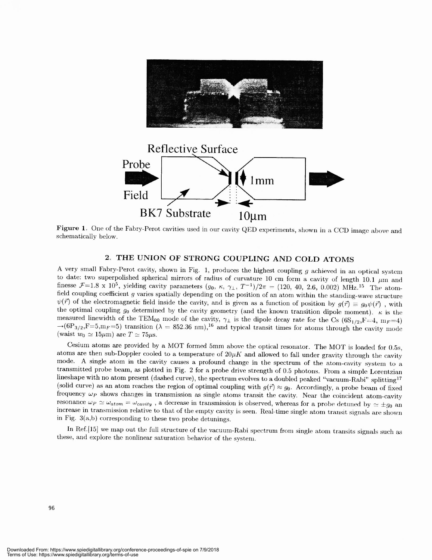

Figure 1. One of the Fabry-Perot cavities used in our cavity QED experiments, shown in a CCD image above and schematically below.

# 2. THE UNION OF STRONG COUPLING AND COLD ATOMS

A very small Fabry-Perot cavity, shown in Fig. 1, produces the highest coupling g achieved in an optical system to date: two superpolished spherical mirrors of radius of curvature 10 cm form a cavity of length 10.1  $\mu$ m finesse  $\mathcal{F}=1.8 \times 10^5$ , yielding cavity parameters  $(g_0, \kappa, \gamma_\perp, T^{-1})/2\pi = (120, 40, 2.6, 0.002) \text{ MHz.}^{15}$  The atom-<br>field coupling coefficient g varies spatially depending on the position of an atom within the stand  $\psi(\vec{r})$  of the electromagnetic field inside the cavity, and is given as a function of position by  $g(\vec{r}) \equiv g_0 \psi(\vec{r})$ , with the optimal coupling  $g_0$  determined by the cavity geometry (and the known transition dipole moment).  $\kappa$  is the measured linewidth of the TEM<sub>00</sub> mode of the cavity,  $\gamma_{\perp}$  is the dipole decay rate for the Cs (6S<sub>1/2</sub>,F=4, m<sub>F</sub>=4)  $\rightarrow$ (6P<sub>3/2</sub>,F=5,m<sub>F</sub>=5) transition ( $\lambda = 852.36$  nm),<sup>16</sup> and typical transit times for atoms through the cavity mode (waist  $w_0 \simeq 15 \mu m$ ) are  $T \simeq 75 \mu s$ .

Cesium atoms are provided by a MOT formed 5mm above the optical resonator. The MOT is loaded for 0.5s, atoms are then sub-Doppler cooled to a temperature of  $20\mu K$  and allowed to fall under gravity through the cavity mode. A single atom in the cavity causes a profound change in the spectrum of the atom-cavity system to a transmitted probe beam, as plotted in Fig. 2 for a probe drive strength of 0.5 photons. From a simple Lorentzian lineshape with no atom present (dashed curve), the spectrum evolves to a doubled peaked "vacuum-Rabi" splitting<sup>17</sup> (solid curve) as an atom reaches the region of optimal coupling with  $g(\vec{r}) \approx g_0$ . Accordingly, a probe beam of fixed frequency  $\omega_P$  shows changes in transmission as single atoms transit the cavity. Near the coincident atom-cavity resonance  $\omega_P \simeq \omega_{atom} = \omega_{cavity}$ , a decrease in transmission is observed, whereas for a probe detuned by  $\simeq \pm g_0$  and increase in transmission relative to that of the empty cavity is seen. Real-time single atom transit signals are shown in Fig. 3(a,b) corresponding to these two probe detunings.

In Ref.[15] we map out the full structure of the vacuum-Rabi spectrum from single atom transits signals such as these, and explore the nonlinear saturation behavior of the system.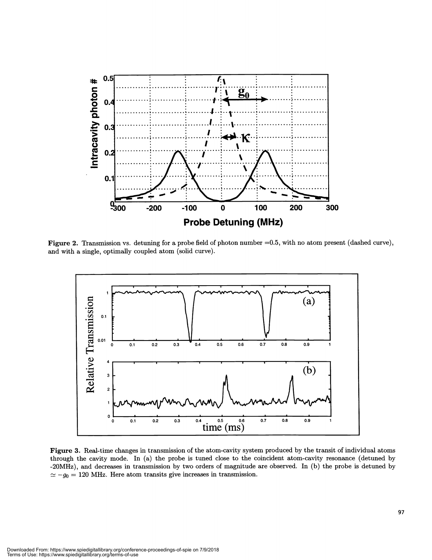

Figure 2. Transmission vs. detuning for a probe field of photon number  $=0.5$ , with no atom present (dashed curve), and with a single, optimally coupled atom (solid curve).



Figure 3. Real-time changes in transmission of the atom-cavity system produced by the transit of individual atoms through the cavity mode. In (a) the probe is tuned close to the coincident atom-cavity resonance (detuned by -20MHz) , and decreases in transmission by two orders of magnitude are observed. In (b) the probe is detuned by  $\approx -g_0 = 120$  MHz. Here atom transits give increases in transmission.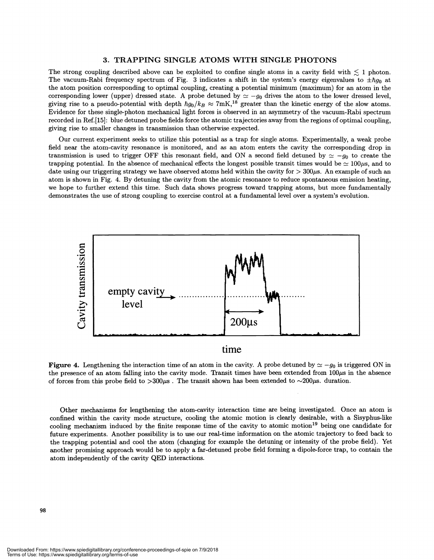## 3. TRAPPING SINGLE ATOMS WITH SINGLE PHOTONS

The strong coupling described above can be exploited to confine single atoms in a cavity field with  $\lesssim 1$  photon. The vacuum-Rabi frequency spectrum of Fig. 3 indicates a shift in the system's energy eigenvalues to  $\pm$ the atom position corresponding to optimal coupling, creating a potential minimum (maximum) for an atom in the corresponding lower (upper) dressed state. A probe detuned by  $\approx -g_0$  drives the atom to the lower dressed level, giving rise to a pseudo-potential with depth  $\hbar g_0/k_B \approx 7 \text{mK}$ ,<sup>18</sup> greater than the kinetic energy of the slow atoms. Evidence for these single—photon mechanical light forces is observed in an asymmetry of the vacuum-Rabi spectrum recorded in Ref.[15}: blue detuned probe fields force the atomic trajectories away from the regions ofoptimal coupling, giving rise to smaller changes in transmission than otherwise expected.

Our current experiment seeks to utilize this potential as a trap for single atoms. Experimentally, a weak probe field near the atom-cavity resonance is monitored, and as an atom enters the cavity the corresponding drop in transmission is used to trigger OFF this resonant field, and ON a second field detuned by  $\simeq -g_0$  to create the trapping potential. In the absence of mechanical effects the longest possible transit times would be  $\simeq 100\mu s$ , and to date using our triggering strategy we have observed atoms held within the cavity for  $>300\mu s$ . An example of such an atom is shown in Fig. 4. By detuning the cavity from the atomic resonance to reduce spontaneous emission heating, we hope to further extend this time. Such data shows progress toward trapping atoms, but more fundamentally demonstrates the use of strong coupling to exercise control at a fundamental level over a system's evolution.



time

Figure 4. Lengthening the interaction time of an atom in the cavity. A probe detuned by  $\simeq -g_0$  is triggered ON in the presence of an atom falling into the cavity mode. Transit times have been extended from  $100\mu s$  in the absence of forces from this probe field to  $>300\mu$ s. The transit shown has been extended to  $\sim 200\mu$ s. duration.

Other mechanisms for lengthening the atom-cavity interaction time are being investigated. Once an atom is confined within the cavity mode structure, cooling the atomic motion is clearly desirable, with a Sisyphus-like cooling mechanism induced by the finite response time of the cavity to atomic motion<sup>19</sup> being one candidate for future experiments. Another possibility is to use our real-time information on the atomic trajectory to feed back to the trapping potential and cool the atom (changing for example the detuning or intensity of the probe field). Yet another promising approach would be to apply a far-detuned probe field forming a dipole-force trap, to contain the atom independently of the cavity QED interactions.

Downloaded From: https://www.spiedigitallibrary.org/conference-proceedings-of-spie on 7/9/2018 Terms of Use: https://www.spiedigitallibrary.org/terms-of-use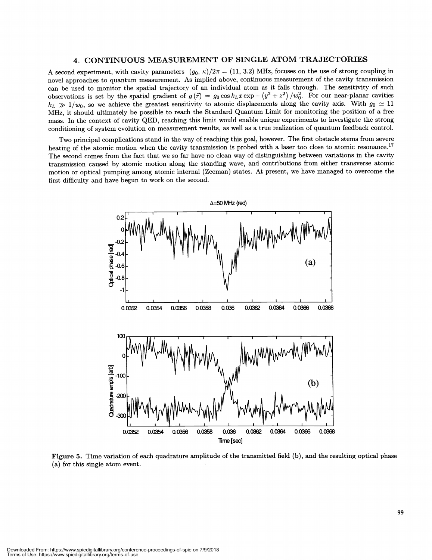# 4 CONTINUOUS MEASUREMENT OF SINGLE ATOM TRAJECTORIES

A second experiment, with cavity parameters  $(g_0, \kappa)/2\pi = (11, 3.2)$  MHz, focuses on the use of strong coupling in novel approaches to quantum measurement. As implied above, continuous measurement of the cavity transmission can be used to monitor the spatial trajectory of an individual atom as it falls through. The sensitivity of such observations is set by the spatial gradient of  $g(\vec{r}) = g_0 \cos k_L x \exp - (y^2 + z^2) / w_0^2$ . For our near-planar cavities  $k_L \gg 1/w_0$ , so we achieve the greatest sensitivity to atomic displacements along the cavity axis. With  $g_0 \simeq 11$ MHz, it should ultimately be possible to reach the Standard Quantum Limit for monitoring the position of a free mass. In the context of cavity QED, reaching this limit would enable unique experiments to investigate the strong conditioning of system evolution on measurement results, as well as a true realization of quantum feedback control.

Two principal complications stand in the way of reaching this goal, however. The first obstacle stems from severe heating of the atomic motion when the cavity transmission is probed with a laser too close to atomic resonance.<sup>17</sup> The second comes from the fact that we so far have no clean way of distinguishing between variations in the cavity transmission caused by atomic motion along the standing wave, and contributions from either transverse atomic motion or optical pumping among atomic internal (Zeeman) states. At present, we have managed to overcome the first difficulty and have begun to work on the second.



Figure 5. Time variation of each quadrature amplitude of the transmitted field (b), and the resulting optical phase (a) for this single atom event.